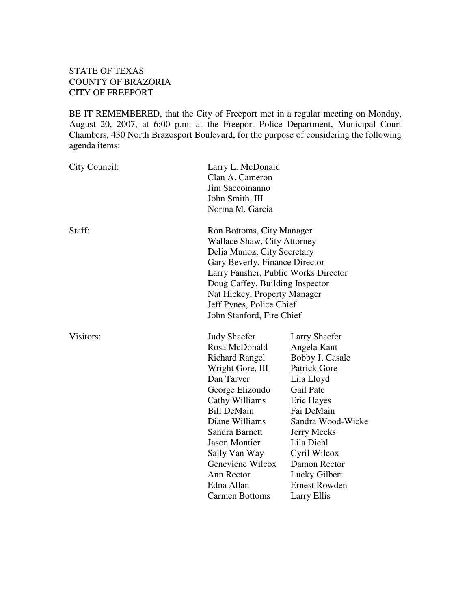# STATE OF TEXAS COUNTY OF BRAZORIA CITY OF FREEPORT

BE IT REMEMBERED, that the City of Freeport met in a regular meeting on Monday, August 20, 2007, at 6:00 p.m. at the Freeport Police Department, Municipal Court Chambers, 430 North Brazosport Boulevard, for the purpose of considering the following agenda items:

| City Council: | Larry L. McDonald<br>Clan A. Cameron<br>Jim Saccomanno<br>John Smith, III<br>Norma M. Garcia                                                                                                                                                                                                                     |                                                                                                                                                                                                                                                                                |
|---------------|------------------------------------------------------------------------------------------------------------------------------------------------------------------------------------------------------------------------------------------------------------------------------------------------------------------|--------------------------------------------------------------------------------------------------------------------------------------------------------------------------------------------------------------------------------------------------------------------------------|
| Staff:        | Ron Bottoms, City Manager<br>Wallace Shaw, City Attorney<br>Delia Munoz, City Secretary<br>Gary Beverly, Finance Director<br>Larry Fansher, Public Works Director<br>Doug Caffey, Building Inspector<br>Nat Hickey, Property Manager<br>Jeff Pynes, Police Chief<br>John Stanford, Fire Chief                    |                                                                                                                                                                                                                                                                                |
| Visitors:     | <b>Judy Shaefer</b><br>Rosa McDonald<br><b>Richard Rangel</b><br>Wright Gore, III<br>Dan Tarver<br>George Elizondo<br>Cathy Williams<br><b>Bill DeMain</b><br>Diane Williams<br>Sandra Barnett<br><b>Jason Montier</b><br>Sally Van Way<br>Geneviene Wilcox<br>Ann Rector<br>Edna Allan<br><b>Carmen Bottoms</b> | <b>Larry Shaefer</b><br>Angela Kant<br>Bobby J. Casale<br>Patrick Gore<br>Lila Lloyd<br>Gail Pate<br>Eric Hayes<br>Fai DeMain<br>Sandra Wood-Wicke<br><b>Jerry Meeks</b><br>Lila Diehl<br>Cyril Wilcox<br>Damon Rector<br>Lucky Gilbert<br><b>Ernest Rowden</b><br>Larry Ellis |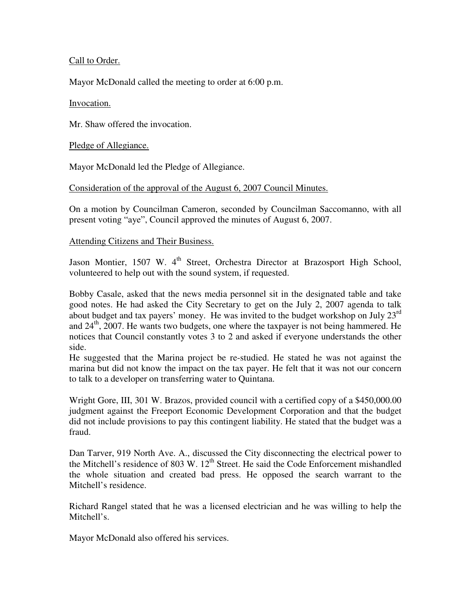### Call to Order.

Mayor McDonald called the meeting to order at 6:00 p.m.

### Invocation.

Mr. Shaw offered the invocation.

Pledge of Allegiance.

Mayor McDonald led the Pledge of Allegiance.

## Consideration of the approval of the August 6, 2007 Council Minutes.

On a motion by Councilman Cameron, seconded by Councilman Saccomanno, with all present voting "aye", Council approved the minutes of August 6, 2007.

## Attending Citizens and Their Business.

Jason Montier, 1507 W. 4<sup>th</sup> Street, Orchestra Director at Brazosport High School, volunteered to help out with the sound system, if requested.

Bobby Casale, asked that the news media personnel sit in the designated table and take good notes. He had asked the City Secretary to get on the July 2, 2007 agenda to talk about budget and tax payers' money. He was invited to the budget workshop on July  $23<sup>rd</sup>$ and 24<sup>th</sup>, 2007. He wants two budgets, one where the taxpayer is not being hammered. He notices that Council constantly votes 3 to 2 and asked if everyone understands the other side.

He suggested that the Marina project be re-studied. He stated he was not against the marina but did not know the impact on the tax payer. He felt that it was not our concern to talk to a developer on transferring water to Quintana.

Wright Gore, III, 301 W. Brazos, provided council with a certified copy of a \$450,000.00 judgment against the Freeport Economic Development Corporation and that the budget did not include provisions to pay this contingent liability. He stated that the budget was a fraud.

Dan Tarver, 919 North Ave. A., discussed the City disconnecting the electrical power to the Mitchell's residence of 803 W.  $12<sup>th</sup>$  Street. He said the Code Enforcement mishandled the whole situation and created bad press. He opposed the search warrant to the Mitchell's residence.

Richard Rangel stated that he was a licensed electrician and he was willing to help the Mitchell's.

Mayor McDonald also offered his services.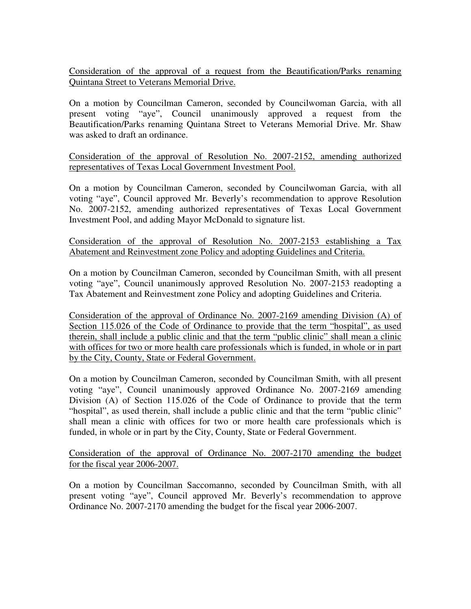Consideration of the approval of a request from the Beautification/Parks renaming Quintana Street to Veterans Memorial Drive.

On a motion by Councilman Cameron, seconded by Councilwoman Garcia, with all present voting "aye", Council unanimously approved a request from the Beautification/Parks renaming Quintana Street to Veterans Memorial Drive. Mr. Shaw was asked to draft an ordinance.

Consideration of the approval of Resolution No. 2007-2152, amending authorized representatives of Texas Local Government Investment Pool.

On a motion by Councilman Cameron, seconded by Councilwoman Garcia, with all voting "aye", Council approved Mr. Beverly's recommendation to approve Resolution No. 2007-2152, amending authorized representatives of Texas Local Government Investment Pool, and adding Mayor McDonald to signature list.

Consideration of the approval of Resolution No. 2007-2153 establishing a Tax Abatement and Reinvestment zone Policy and adopting Guidelines and Criteria.

On a motion by Councilman Cameron, seconded by Councilman Smith, with all present voting "aye", Council unanimously approved Resolution No. 2007-2153 readopting a Tax Abatement and Reinvestment zone Policy and adopting Guidelines and Criteria.

Consideration of the approval of Ordinance No. 2007-2169 amending Division (A) of Section 115.026 of the Code of Ordinance to provide that the term "hospital", as used therein, shall include a public clinic and that the term "public clinic" shall mean a clinic with offices for two or more health care professionals which is funded, in whole or in part by the City, County, State or Federal Government.

On a motion by Councilman Cameron, seconded by Councilman Smith, with all present voting "aye", Council unanimously approved Ordinance No. 2007-2169 amending Division (A) of Section 115.026 of the Code of Ordinance to provide that the term "hospital", as used therein, shall include a public clinic and that the term "public clinic" shall mean a clinic with offices for two or more health care professionals which is funded, in whole or in part by the City, County, State or Federal Government.

Consideration of the approval of Ordinance No. 2007-2170 amending the budget for the fiscal year 2006-2007.

On a motion by Councilman Saccomanno, seconded by Councilman Smith, with all present voting "aye", Council approved Mr. Beverly's recommendation to approve Ordinance No. 2007-2170 amending the budget for the fiscal year 2006-2007.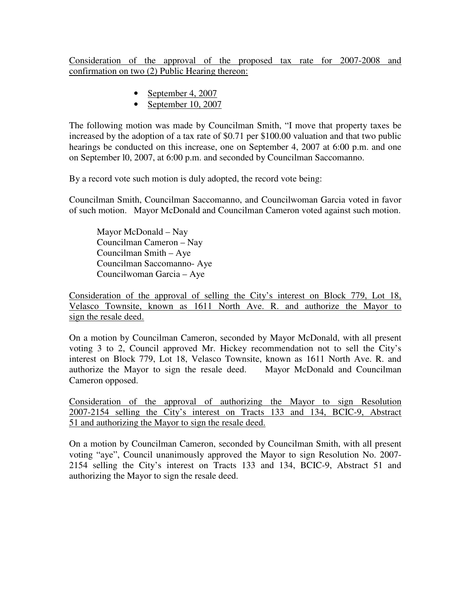Consideration of the approval of the proposed tax rate for 2007-2008 and confirmation on two (2) Public Hearing thereon:

- September 4, 2007
- September 10, 2007

The following motion was made by Councilman Smith, "I move that property taxes be increased by the adoption of a tax rate of \$0.71 per \$100.00 valuation and that two public hearings be conducted on this increase, one on September 4, 2007 at 6:00 p.m. and one on September l0, 2007, at 6:00 p.m. and seconded by Councilman Saccomanno.

By a record vote such motion is duly adopted, the record vote being:

Councilman Smith, Councilman Saccomanno, and Councilwoman Garcia voted in favor of such motion. Mayor McDonald and Councilman Cameron voted against such motion.

Mayor McDonald – Nay Councilman Cameron – Nay Councilman Smith – Aye Councilman Saccomanno- Aye Councilwoman Garcia – Aye

Consideration of the approval of selling the City's interest on Block 779, Lot 18, Velasco Townsite, known as 1611 North Ave. R. and authorize the Mayor to sign the resale deed.

On a motion by Councilman Cameron, seconded by Mayor McDonald, with all present voting 3 to 2, Council approved Mr. Hickey recommendation not to sell the City's interest on Block 779, Lot 18, Velasco Townsite, known as 1611 North Ave. R. and authorize the Mayor to sign the resale deed. Mayor McDonald and Councilman Cameron opposed.

Consideration of the approval of authorizing the Mayor to sign Resolution 2007-2154 selling the City's interest on Tracts 133 and 134, BCIC-9, Abstract 51 and authorizing the Mayor to sign the resale deed.

On a motion by Councilman Cameron, seconded by Councilman Smith, with all present voting "aye", Council unanimously approved the Mayor to sign Resolution No. 2007- 2154 selling the City's interest on Tracts 133 and 134, BCIC-9, Abstract 51 and authorizing the Mayor to sign the resale deed.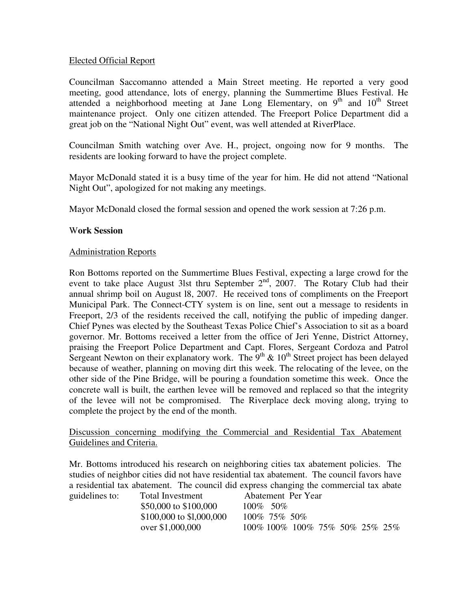#### Elected Official Report

Councilman Saccomanno attended a Main Street meeting. He reported a very good meeting, good attendance, lots of energy, planning the Summertime Blues Festival. He attended a neighborhood meeting at Jane Long Elementary, on 9<sup>th</sup> and 10<sup>th</sup> Street maintenance project. Only one citizen attended. The Freeport Police Department did a great job on the "National Night Out" event, was well attended at RiverPlace.

Councilman Smith watching over Ave. H., project, ongoing now for 9 months. The residents are looking forward to have the project complete.

Mayor McDonald stated it is a busy time of the year for him. He did not attend "National Night Out", apologized for not making any meetings.

Mayor McDonald closed the formal session and opened the work session at 7:26 p.m.

#### W**ork Session**

#### Administration Reports

Ron Bottoms reported on the Summertime Blues Festival, expecting a large crowd for the event to take place August 31st thru September 2<sup>nd</sup>, 2007. The Rotary Club had their annual shrimp boil on August l8, 2007. He received tons of compliments on the Freeport Municipal Park. The Connect-CTY system is on line, sent out a message to residents in Freeport, 2/3 of the residents received the call, notifying the public of impeding danger. Chief Pynes was elected by the Southeast Texas Police Chief's Association to sit as a board governor. Mr. Bottoms received a letter from the office of Jeri Yenne, District Attorney, praising the Freeport Police Department and Capt. Flores, Sergeant Cordoza and Patrol Sergeant Newton on their explanatory work. The  $9<sup>th</sup>$  &  $10<sup>th</sup>$  Street project has been delayed because of weather, planning on moving dirt this week. The relocating of the levee, on the other side of the Pine Bridge, will be pouring a foundation sometime this week. Once the concrete wall is built, the earthen levee will be removed and replaced so that the integrity of the levee will not be compromised. The Riverplace deck moving along, trying to complete the project by the end of the month.

Discussion concerning modifying the Commercial and Residential Tax Abatement Guidelines and Criteria.

Mr. Bottoms introduced his research on neighboring cities tax abatement policies. The studies of neighbor cities did not have residential tax abatement. The council favors have a residential tax abatement. The council did express changing the commercial tax abate

| guidelines to: | Total Investment          | Abatement Per Year                    |
|----------------|---------------------------|---------------------------------------|
|                | \$50,000 to \$100,000     | $100\%$ 50\%                          |
|                | $$100,000$ to \$1,000,000 | 100\% 75\% 50\%                       |
|                | over \$1,000,000          | 100\% 100\% 100\% 75\% 50\% 25\% 25\% |